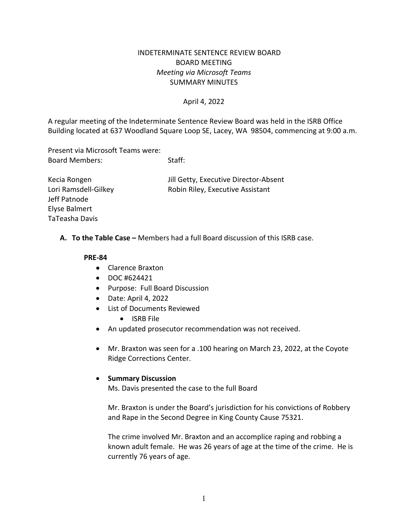## INDETERMINATE SENTENCE REVIEW BOARD BOARD MEETING *Meeting via Microsoft Teams* SUMMARY MINUTES

### April 4, 2022

A regular meeting of the Indeterminate Sentence Review Board was held in the ISRB Office Building located at 637 Woodland Square Loop SE, Lacey, WA 98504, commencing at 9:00 a.m.

Present via Microsoft Teams were: Board Members: Staff:

Kecia Rongen Jill Getty, Executive Director-Absent Lori Ramsdell-Gilkey **Robin Riley, Executive Assistant** 

**A. To the Table Case –** Members had a full Board discussion of this ISRB case.

#### **PRE-84**

Jeff Patnode Elyse Balmert TaTeasha Davis

- Clarence Braxton
- DOC #624421
- Purpose: Full Board Discussion
- Date: April 4, 2022
- List of Documents Reviewed
	- ISRB File
- An updated prosecutor recommendation was not received.
- Mr. Braxton was seen for a .100 hearing on March 23, 2022, at the Coyote Ridge Corrections Center.

#### • **Summary Discussion**

Ms. Davis presented the case to the full Board

Mr. Braxton is under the Board's jurisdiction for his convictions of Robbery and Rape in the Second Degree in King County Cause 75321.

The crime involved Mr. Braxton and an accomplice raping and robbing a known adult female. He was 26 years of age at the time of the crime. He is currently 76 years of age.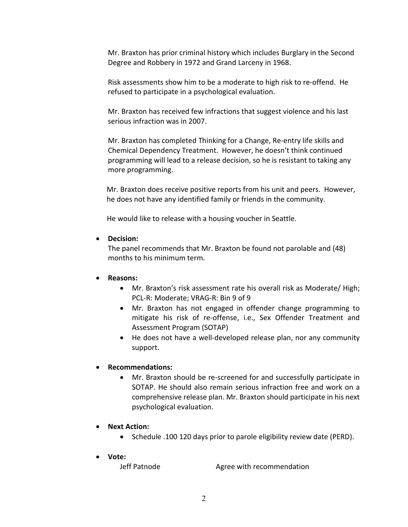Mr. Braxton has prior criminal history which includes Burglary in the Second Degree and Robbery in 1972 and Grand Larceny in 1968.

Risk assessments show him to be a moderate to high risk to re-offend. He refused to participate in a psychological evaluation.

Mr. Braxton has received few infractions that suggest violence and his last serious infraction was in 2007.

Mr. Braxton has completed Thinking for a Change, Re-entry life skills and Chemical Dependency Treatment. However, he doesn't think continued programming will lead to a release decision, so he is resistant to taking any more programming.

Mr. Braxton does receive positive reports from his unit and peers. However, he does not have any identified family or friends in the community.

He would like to release with a housing voucher in Seattle.

• **Decision:** 

The panel recommends that Mr. Braxton be found not parolable and (48) months to his minimum term.

## • **Reasons:**

- Mr. Braxton's risk assessment rate his overall risk as Moderate/ High; PCL-R: Moderate; VRAG-R: Bin 9 of 9
- Mr. Braxton has not engaged in offender change programming to mitigate his risk of re-offense, i.e., Sex Offender Treatment and Assessment Program (SOTAP)
- He does not have a well-developed release plan, nor any community support.

# • **Recommendations:**

- Mr. Braxton should be re-screened for and successfully participate in SOTAP. He should also remain serious infraction free and work on a comprehensive release plan. Mr. Braxton should participate in his next psychological evaluation.
- **Next Action:**
	- Schedule .100 120 days prior to parole eligibility review date (PERD).
- **Vote:**

Jeff Patnode **Agree with recommendation**